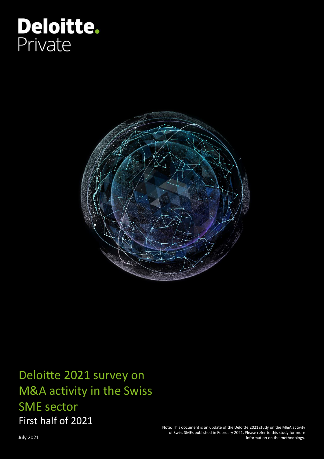# Deloitte. Private



Deloitte 2021 survey on M&A activity in the Swiss SME sector First half of 2021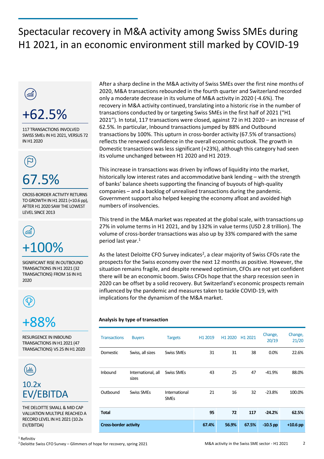## Spectacular recovery in M&A activity among Swiss SMEs during H1 2021, in an economic environment still marked by COVID-19



67.5%

CROSS-BORDER ACTIVITY RETURNS TO GROWTH IN H1 2021 (+10.6 pp), AFTER H1 2020 SAW THE LOWEST LEVEL SINCE 2013



SIGNIFICANT RISE IN OUTBOUND TRANSACTIONS IN H1 2021 (32 TRANSACTIONS) FROM 16 IN H1 2020



## +88%

RESURGENCE IN INBOUND TRANSACTIONS IN H1 2021 (47 TRANSACTIONS) VS 25 IN H1 2020



THE DELOITTE SMALL & MID CAP VALUATION MULTIPLE REACHED A RECORD LEVEL IN H1 2021 (10.2x EV/EBITDA)

After a sharp decline in the M&A activity of Swiss SMEs over the first nine months of 2020, M&A transactions rebounded in the fourth quarter and Switzerland recorded only a moderate decrease in its volume of M&A activity in 2020 (-4.6%). The recovery in M&A activity continued, translating into a historic rise in the number of transactions conducted by or targeting Swiss SMEs in the first half of 2021 ("H1 2021"). In total, 117 transactions were closed, against 72 in H1 2020 – an increase of 62.5%. In particular, Inbound transactions jumped by 88% and Outbound transactions by 100%. This upturn in cross-border activity (67.5% of transactions) reflects the renewed confidence in the overall economic outlook. The growth in Domestic transactions was less significant (+23%), although this category had seen its volume unchanged between H1 2020 and H1 2019.

This increase in transactions was driven by inflows of liquidity into the market, historically low interest rates and accommodative bank lending – with the strength of banks' balance sheets supporting the financing of buyouts of high-quality companies – and a backlog of unrealised transactions during the pandemic. Government support also helped keeping the economy afloat and avoided high numbers of insolvencies.

This trend in the M&A market was repeated at the global scale, with transactions up 27% in volume terms in H1 2021, and by 132% in value terms (USD 2.8 trillion). The volume of cross-border transactions was also up by 33% compared with the same period last year.<sup>1</sup>

As the latest Deloitte CFO Survey indicates<sup>2</sup>, a clear majority of Swiss CFOs rate the prospects for the Swiss economy over the next 12 months as positive. However, the situation remains fragile, and despite renewed optimism, CFOs are not yet confident there will be an economic boom. Swiss CFOs hope that the sharp recession seen in 2020 can be offset by a solid recovery. But Switzerland's economic prospects remain influenced by the pandemic and measures taken to tackle COVID-19, with implications for the dynamism of the M&A market.

#### **Analysis by type of transaction**

| <b>Transactions</b>          | <b>Buyers</b>               | <b>Targets</b>               | H <sub>1</sub> 2019 | H1 2020 | H1 2021 | Change,<br>20/19 | Change,<br>21/20 |
|------------------------------|-----------------------------|------------------------------|---------------------|---------|---------|------------------|------------------|
| Domestic                     | Swiss, all sizes            | <b>Swiss SMEs</b>            | 31                  | 31      | 38      | 0.0%             | 22.6%            |
| Inbound                      | International, all<br>sizes | <b>Swiss SMEs</b>            | 43                  | 25      | 47      | $-41.9%$         | 88.0%            |
| Outbound                     | <b>Swiss SMEs</b>           | International<br><b>SMEs</b> | 21                  | 16      | 32      | $-23.8%$         | 100.0%           |
| <b>Total</b>                 |                             |                              | 95                  | 72      | 117     | $-24.2%$         | 62.5%            |
| <b>Cross-border activity</b> |                             |                              | 67.4%               | 56.9%   | 67.5%   | $-10.5$ pp       | $+10.6$ pp       |

<sup>1</sup> Refinitiv

<sup>2</sup> Deloitte Swiss CFO Survey – Glimmers of hope for recovery, spring 2021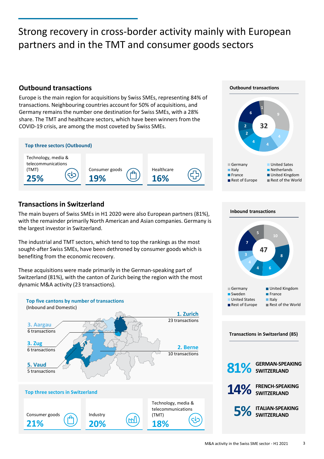### Strong recovery in cross-border activity mainly with European partners and in the TMT and consumer goods sectors

#### **Outbound transactions Outbound transactions**

Europe is the main region for acquisitions by Swiss SMEs, representing 84% of transactions. Neighbouring countries account for 50% of acquisitions, and Germany remains the number one destination for Swiss SMEs, with a 28% share. The TMT and healthcare sectors, which have been winners from the COVID-19 crisis, are among the most coveted by Swiss SMEs.



#### **Transactions in Switzerland**

The main buyers of Swiss SMEs in H1 2020 were also European partners (81%), with the remainder primarily North American and Asian companies. Germany is the largest investor in Switzerland.

The industrial and TMT sectors, which tend to top the rankings as the most sought-after Swiss SMEs, have been dethroned by consumer goods which is benefiting from the economic recovery.

These acquisitions were made primarily in the German-speaking part of Switzerland (81%), with the canton of Zurich being the region with the most dynamic M&A activity (23 transactions).







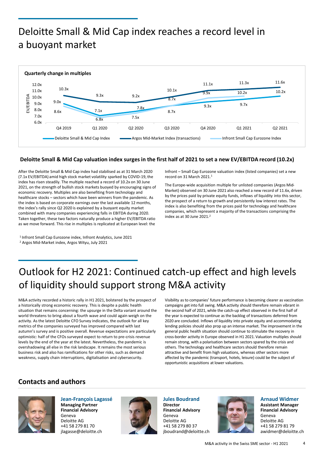### Deloitte Small & Mid Cap index reaches a record level in a buoyant market



#### **Deloitte Small & Mid Cap valuation index surges in the first half of 2021 to set a new EV/EBITDA record (10.2x)**

After the Deloitte Small & Mid Cap index had stabilised as at 31 March 2020 (7.1x EV/EBITDA) amid high stock market volatility sparked by COVID-19, the index has risen steadily. The multiple reached a record of 10.2x on 30 June 2021, on the strength of bullish stock markets buoyed by encouraging signs of economic recovery. Multiples are also benefiting from technology and healthcare stocks – sectors which have been winners from the pandemic. As the index is based on corporate earnings over the last available 12 months, the index's rally since Q2 2020 is explained by a buoyant equity market combined with many companies experiencing falls in EBITDA during 2020. Taken together, these two factors naturally produce a higher EV/EBITDA ratio as we move forward. This rise in multiples is replicated at European level: the

<sup>1</sup> Infront Small Cap Eurozone index, Infront Analytics, June 2021 <sup>2</sup> Argos Mid-Market index, Argos Wityu, July 2021

Infront – Small Cap Eurozone valuation index (listed companies) set a new record on 31 March 2021.<sup>1</sup>

The Europe-wide acquisition multiple for unlisted companies (Argos Mid-Market) observed on 30 June 2021 also reached a new record of 11.6x, driven by the prices paid by private equity funds, inflows of liquidity into this sector, the prospect of a return to growth and persistently low interest rates. The index is also benefiting from the prices paid for technology and healthcare companies, which represent a majority of the transactions comprising the index as at 30 June 2021.<sup>2</sup>

## Outlook for H2 2021: Continued catch-up effect and high levels of liquidity should support strong M&A activity

M&A activity recorded a historic rally in H1 2021, bolstered by the prospect of a historically strong economic recovery. This is despite a public health situation that remains concerning: the upsurge in the Delta variant around the world threatens to bring about a fourth wave and could again weigh on the activity. As the latest Deloitte CFO Survey indicates, the outlook for all key metrics of the companies surveyed has improved compared with last autumn's survey and is positive overall. Revenue expectations are particularly optimistic: half of the CFOs surveyed expect to return to pre-crisis revenue levels by the end of the year at the latest. Nevertheless, the pandemic is overshadowing all else in the risk landscape. It remains the most serious business risk and also has ramifications for other risks, such as demand weakness, supply chain interruptions, digitalisation and cybersecurity.

Visibility as to companies' future performance is becoming clearer as vaccination campaigns get into full swing. M&A activity should therefore remain vibrant in the second half of 2021, while the catch-up effect observed in the first half of the year is expected to continue as the backlog of transactions deferred from 2020 are concluded. Inflows of liquidity into private equity and accommodating lending policies should also prop up an intense market. The improvement in the general public health situation should continue to stimulate the recovery in cross-border activity in Europe observed in H1 2021. Valuation multiples should remain strong, with a polarisation between sectors spared by the crisis and others. The technology and healthcare sectors should therefore remain attractive and benefit from high valuations, whereas other sectors more affected by the pandemic (transport, hotels, leisure) could be the subject of opportunistic acquisitions at lower valuations.

#### **Contacts and authors**



**Jean-François Lagassé Managing Partner Financial Advisory** Geneva Deloitte AG +41 58 279 81 70 jlagasse@deloitte.ch



**Jules Boudrand Director Financial Advisory** Geneva Deloitte AG +41 58 279 80 37 jboudrand@deloitte.ch



**Arnaud Widmer Assistant Manager Financial Advisory** Geneva Deloitte AG +41 58 279 81 79 awidmer@deloitte.ch